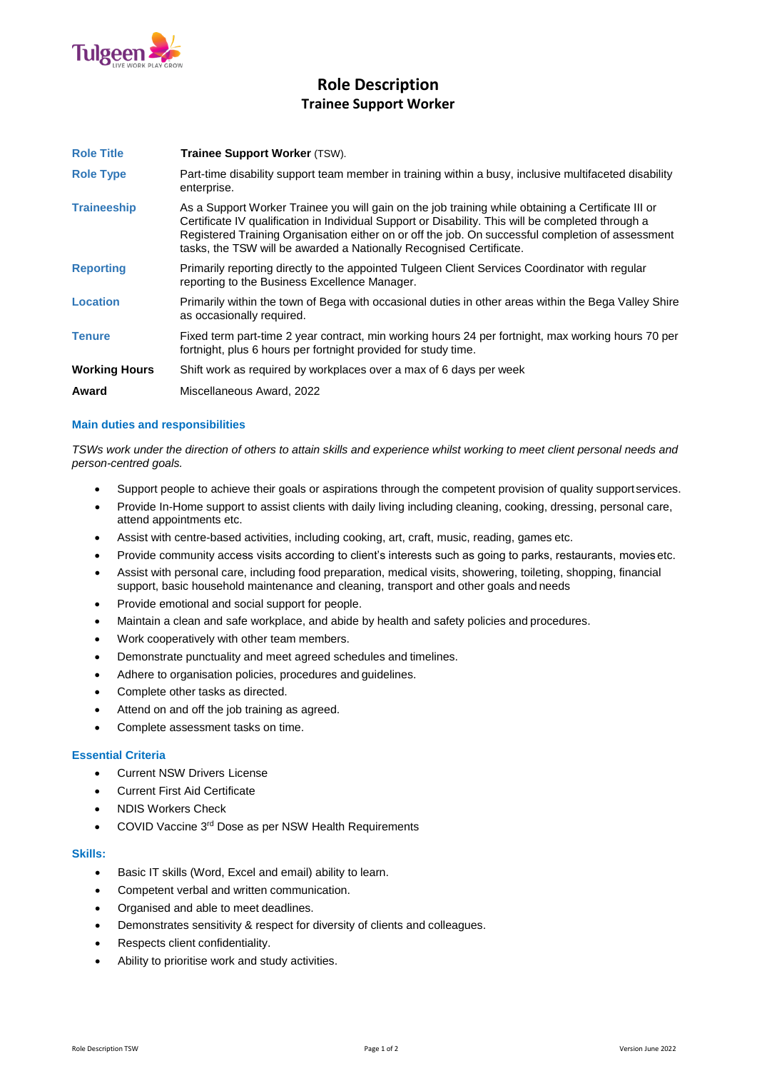

# **Role Description Trainee Support Worker**

| <b>Role Title</b>    | <b>Trainee Support Worker (TSW).</b>                                                                                                                                                                                                                                                                                                                                                 |
|----------------------|--------------------------------------------------------------------------------------------------------------------------------------------------------------------------------------------------------------------------------------------------------------------------------------------------------------------------------------------------------------------------------------|
| <b>Role Type</b>     | Part-time disability support team member in training within a busy, inclusive multifaceted disability<br>enterprise.                                                                                                                                                                                                                                                                 |
| <b>Traineeship</b>   | As a Support Worker Trainee you will gain on the job training while obtaining a Certificate III or<br>Certificate IV qualification in Individual Support or Disability. This will be completed through a<br>Registered Training Organisation either on or off the job. On successful completion of assessment<br>tasks, the TSW will be awarded a Nationally Recognised Certificate. |
| <b>Reporting</b>     | Primarily reporting directly to the appointed Tulgeen Client Services Coordinator with regular<br>reporting to the Business Excellence Manager.                                                                                                                                                                                                                                      |
| Location             | Primarily within the town of Bega with occasional duties in other areas within the Bega Valley Shire<br>as occasionally required.                                                                                                                                                                                                                                                    |
| <b>Tenure</b>        | Fixed term part-time 2 year contract, min working hours 24 per fortnight, max working hours 70 per<br>fortnight, plus 6 hours per fortnight provided for study time.                                                                                                                                                                                                                 |
| <b>Working Hours</b> | Shift work as required by workplaces over a max of 6 days per week                                                                                                                                                                                                                                                                                                                   |
| Award                | Miscellaneous Award, 2022                                                                                                                                                                                                                                                                                                                                                            |

## **Main duties and responsibilities**

*TSWs work under the direction of others to attain skills and experience whilst working to meet client personal needs and person-centred goals.*

- Support people to achieve their goals or aspirations through the competent provision of quality support services.
- Provide In-Home support to assist clients with daily living including cleaning, cooking, dressing, personal care, attend appointments etc.
- Assist with centre-based activities, including cooking, art, craft, music, reading, games etc.
- Provide community access visits according to client's interests such as going to parks, restaurants, movies etc.
- Assist with personal care, including food preparation, medical visits, showering, toileting, shopping, financial support, basic household maintenance and cleaning, transport and other goals and needs
- Provide emotional and social support for people.
- Maintain a clean and safe workplace, and abide by health and safety policies and procedures.
- Work cooperatively with other team members.
- Demonstrate punctuality and meet agreed schedules and timelines.
- Adhere to organisation policies, procedures and guidelines.
- Complete other tasks as directed.
- Attend on and off the job training as agreed.
- Complete assessment tasks on time.

## **Essential Criteria**

- Current NSW Drivers License
- Current First Aid Certificate
- NDIS Workers Check
- COVID Vaccine 3rd Dose as per NSW Health Requirements

## **Skills:**

- Basic IT skills (Word, Excel and email) ability to learn.
- Competent verbal and written communication.
- Organised and able to meet deadlines.
- Demonstrates sensitivity & respect for diversity of clients and colleagues.
- Respects client confidentiality.
- Ability to prioritise work and study activities.